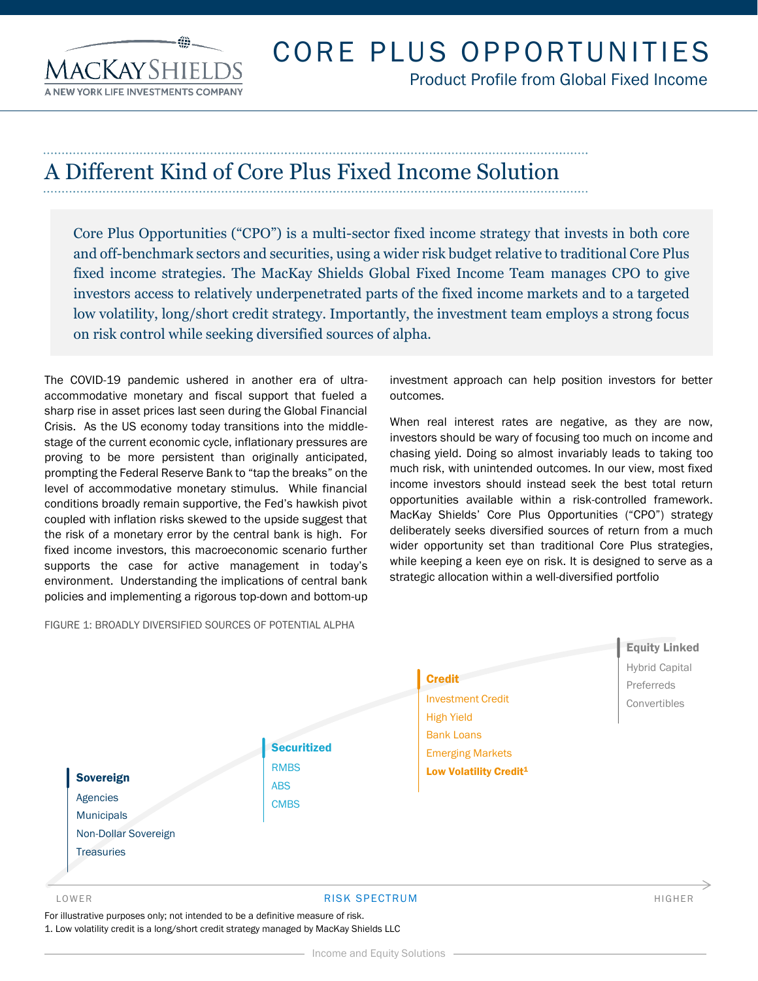**ACKAYSE** 

# CORE PLUS OPPORTUNITIES

Product Profile from Global Fixed Income

## A Different Kind of Core Plus Fixed Income Solution

Core Plus Opportunities ("CPO") is a multi-sector fixed income strategy that invests in both core and off-benchmark sectors and securities, using a wider risk budget relative to traditional Core Plus fixed income strategies. The MacKay Shields Global Fixed Income Team manages CPO to give investors access to relatively underpenetrated parts of the fixed income markets and to a targeted low volatility, long/short credit strategy. Importantly, the investment team employs a strong focus on risk control while seeking diversified sources of alpha.

The COVID-19 pandemic ushered in another era of ultraaccommodative monetary and fiscal support that fueled a sharp rise in asset prices last seen during the Global Financial Crisis. As the US economy today transitions into the middlestage of the current economic cycle, inflationary pressures are proving to be more persistent than originally anticipated, prompting the Federal Reserve Bank to "tap the breaks" on the level of accommodative monetary stimulus. While financial conditions broadly remain supportive, the Fed's hawkish pivot coupled with inflation risks skewed to the upside suggest that the risk of a monetary error by the central bank is high. For fixed income investors, this macroeconomic scenario further supports the case for active management in today's environment. Understanding the implications of central bank policies and implementing a rigorous top-down and bottom-up

FIGURE 1: BROADLY DIVERSIFIED SOURCES OF POTENTIAL ALPHA

investment approach can help position investors for better outcomes.

When real interest rates are negative, as they are now, investors should be wary of focusing too much on income and chasing yield. Doing so almost invariably leads to taking too much risk, with unintended outcomes. In our view, most fixed income investors should instead seek the best total return opportunities available within a risk-controlled framework. MacKay Shields' Core Plus Opportunities ("CPO") strategy deliberately seeks diversified sources of return from a much wider opportunity set than traditional Core Plus strategies, while keeping a keen eye on risk. It is designed to serve as a strategic allocation within a well-diversified portfolio



#### LOWER RISK SPECTRUM HIGHER

For illustrative purposes only; not intended to be a definitive measure of risk. 1. Low volatility credit is a long/short credit strategy managed by MacKay Shields LLC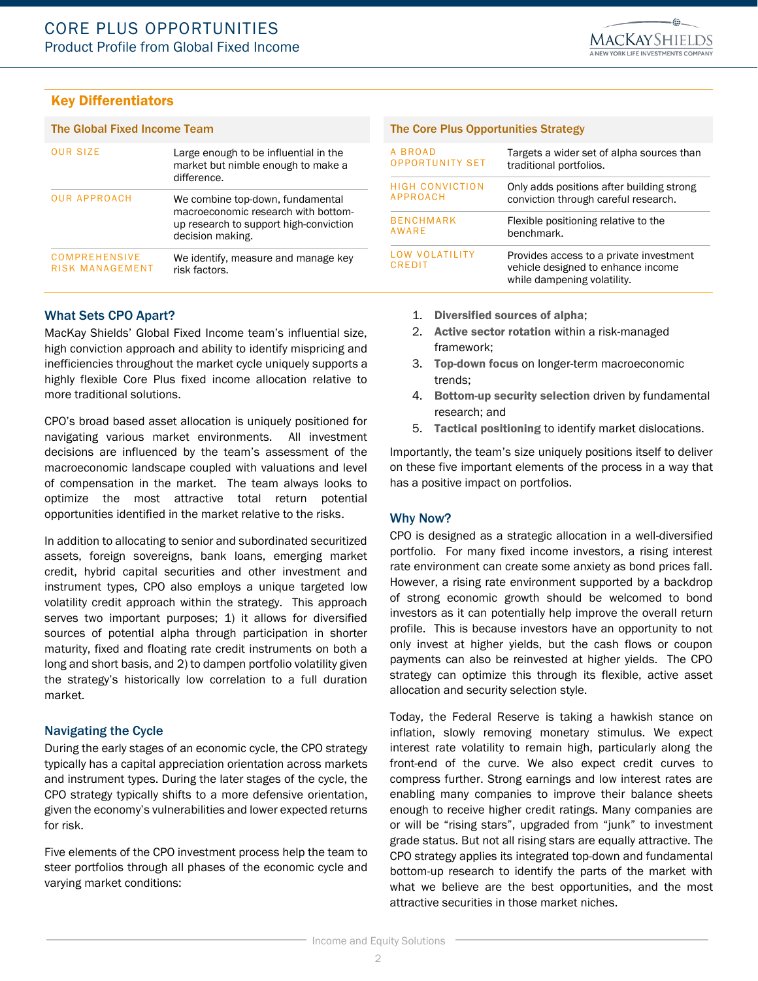### Key Differentiators

#### The Global Fixed Income Team The Core Plus Opportunities Strategy

| <b>OUR SIZE</b>                  | Large enough to be influential in the<br>market but nimble enough to make a<br>difference.                                            | A BROAD<br><b>OPPORTUNITY SET</b>  | Targets a wider set of alpha sources than<br>traditional portfolios.                                         |
|----------------------------------|---------------------------------------------------------------------------------------------------------------------------------------|------------------------------------|--------------------------------------------------------------------------------------------------------------|
|                                  |                                                                                                                                       | <b>HIGH CONVICTION</b><br>APPROACH | Only adds positions after building strong<br>conviction through careful research.                            |
| <b>OUR APPROACH</b>              | We combine top-down, fundamental<br>macroeconomic research with bottom-<br>up research to support high-conviction<br>decision making. |                                    |                                                                                                              |
|                                  |                                                                                                                                       | <b>BENCHMARK</b><br>AWARE          | Flexible positioning relative to the<br>benchmark.                                                           |
| COMPREHENSIVE<br>RISK MANAGEMENT | We identify, measure and manage key<br>risk factors.                                                                                  | LOW VOLATILITY<br><b>CREDIT</b>    | Provides access to a private investment<br>vehicle designed to enhance income<br>while dampening volatility. |

#### What Sets CPO Apart?

MacKay Shields' Global Fixed Income team's influential size, high conviction approach and ability to identify mispricing and inefficiencies throughout the market cycle uniquely supports a highly flexible Core Plus fixed income allocation relative to more traditional solutions.

CPO's broad based asset allocation is uniquely positioned for navigating various market environments. All investment decisions are influenced by the team's assessment of the macroeconomic landscape coupled with valuations and level of compensation in the market. The team always looks to optimize the most attractive total return potential opportunities identified in the market relative to the risks.

In addition to allocating to senior and subordinated securitized assets, foreign sovereigns, bank loans, emerging market credit, hybrid capital securities and other investment and instrument types, CPO also employs a unique targeted low volatility credit approach within the strategy. This approach serves two important purposes; 1) it allows for diversified sources of potential alpha through participation in shorter maturity, fixed and floating rate credit instruments on both a long and short basis, and 2) to dampen portfolio volatility given the strategy's historically low correlation to a full duration market.

#### Navigating the Cycle

During the early stages of an economic cycle, the CPO strategy typically has a capital appreciation orientation across markets and instrument types. During the later stages of the cycle, the CPO strategy typically shifts to a more defensive orientation, given the economy's vulnerabilities and lower expected returns for risk.

Five elements of the CPO investment process help the team to steer portfolios through all phases of the economic cycle and varying market conditions:

- 1. Diversified sources of alpha;
- 2. Active sector rotation within a risk-managed framework;
- 3. Top-down focus on longer-term macroeconomic trends;
- 4. Bottom-up security selection driven by fundamental research; and
- 5. Tactical positioning to identify market dislocations.

Importantly, the team's size uniquely positions itself to deliver on these five important elements of the process in a way that has a positive impact on portfolios.

#### Why Now?

CPO is designed as a strategic allocation in a well-diversified portfolio. For many fixed income investors, a rising interest rate environment can create some anxiety as bond prices fall. However, a rising rate environment supported by a backdrop of strong economic growth should be welcomed to bond investors as it can potentially help improve the overall return profile. This is because investors have an opportunity to not only invest at higher yields, but the cash flows or coupon payments can also be reinvested at higher yields. The CPO strategy can optimize this through its flexible, active asset allocation and security selection style.

Today, the Federal Reserve is taking a hawkish stance on inflation, slowly removing monetary stimulus. We expect interest rate volatility to remain high, particularly along the front-end of the curve. We also expect credit curves to compress further. Strong earnings and low interest rates are enabling many companies to improve their balance sheets enough to receive higher credit ratings. Many companies are or will be "rising stars", upgraded from "junk" to investment grade status. But not all rising stars are equally attractive. The CPO strategy applies its integrated top-down and fundamental bottom-up research to identify the parts of the market with what we believe are the best opportunities, and the most attractive securities in those market niches.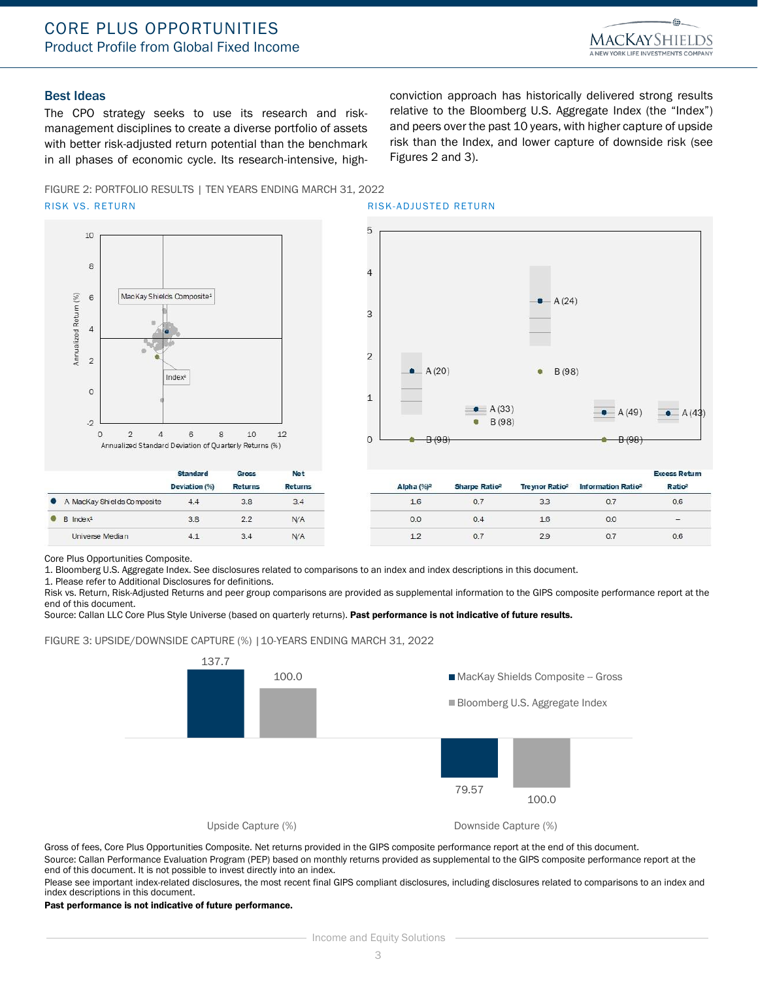

#### Best Ideas

The CPO strategy seeks to use its research and riskmanagement disciplines to create a diverse portfolio of assets with better risk-adjusted return potential than the benchmark in all phases of economic cycle. Its research-intensive, highconviction approach has historically delivered strong results relative to the Bloomberg U.S. Aggregate Index (the "Index") and peers over the past 10 years, with higher capture of upside risk than the Index, and lower capture of downside risk (see Figures 2 and 3).

FIGURE 2: PORTFOLIO RESULTS | TEN YEARS ENDING MARCH 31, 2022 RISK VS. RETURN RISK-ADJUSTED RETURN



 $4.4$ 

3.8

 $4.1$ 



Core Plus Opportunities Composite.

A MacKay Shields Composite

Universe Median

 $\bullet$  $B$  Index<sup>1</sup>

1. Bloomberg U.S. Aggregate Index. See disclosures related to comparisons to an index and index descriptions in this document.

 $3.4$ 

 $N/A$ 

 $N/A$ 

1. Please refer to Additional Disclosures for definitions.

Risk vs. Return, Risk-Adjusted Returns and peer group comparisons are provided as supplemental information to the GIPS composite performance report at the end of this document.

Source: Callan LLC Core Plus Style Universe (based on quarterly returns). Past performance is not indicative of future results.

FIGURE 3: UPSIDE/DOWNSIDE CAPTURE (%) | 10-YEARS ENDING MARCH 31, 2022

 $3.8$ 

 $2.2$ 

 $3.4$ 



Gross of fees, Core Plus Opportunities Composite. Net returns provided in the GIPS composite performance report at the end of this document.

Source: Callan Performance Evaluation Program (PEP) based on monthly returns provided as supplemental to the GIPS composite performance report at the end of this document. It is not possible to invest directly into an index.

Please see important index-related disclosures, the most recent final GIPS compliant disclosures, including disclosures related to comparisons to an index and index descriptions in this document.

Past performance is not indicative of future performance.